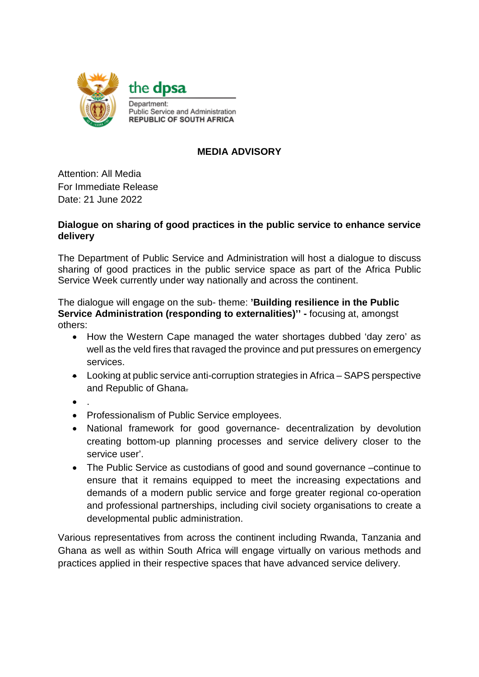

## **MEDIA ADVISORY**

Attention: All Media For Immediate Release Date: 21 June 2022

## **Dialogue on sharing of good practices in the public service to enhance service delivery**

The Department of Public Service and Administration will host a dialogue to discuss sharing of good practices in the public service space as part of the Africa Public Service Week currently under way nationally and across the continent.

The dialogue will engage on the sub- theme: **'Building resilience in the Public Service Administration (responding to externalities)'' -** focusing at, amongst others:

- How the Western Cape managed the water shortages dubbed 'day zero' as well as the veld fires that ravaged the province and put pressures on emergency services.
- Looking at public service anti-corruption strategies in Africa SAPS perspective and Republic of Ghana.
- $\bullet$
- Professionalism of Public Service employees.
- National framework for good governance- decentralization by devolution creating bottom-up planning processes and service delivery closer to the service user'.
- The Public Service as custodians of good and sound governance –continue to ensure that it remains equipped to meet the increasing expectations and demands of a modern public service and forge greater regional co-operation and professional partnerships, including civil society organisations to create a developmental public administration.

Various representatives from across the continent including Rwanda, Tanzania and Ghana as well as within South Africa will engage virtually on various methods and practices applied in their respective spaces that have advanced service delivery.